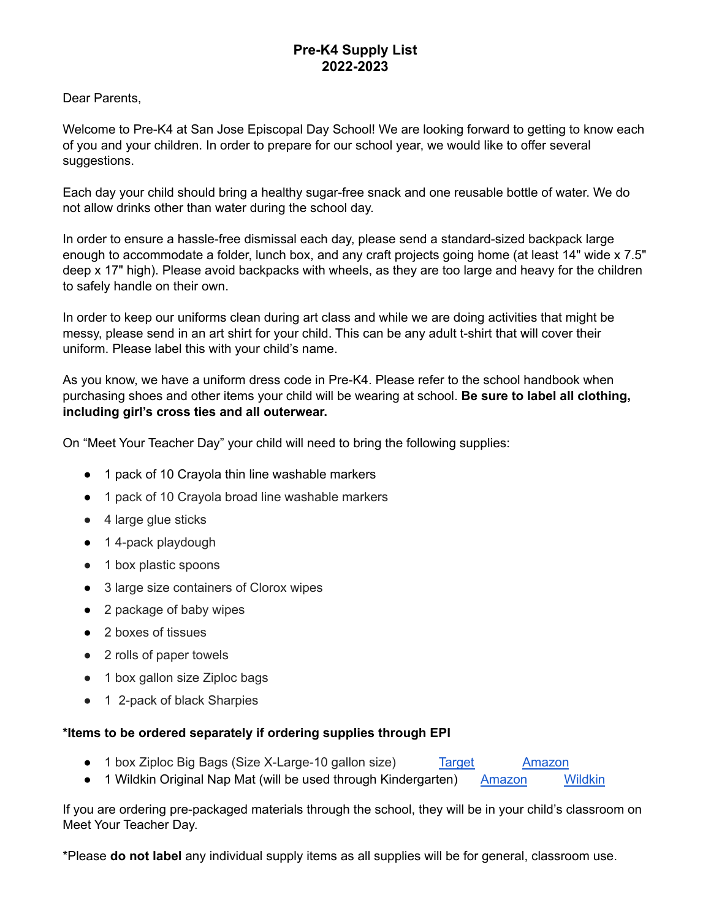## **Pre-K4 Supply List 2022-2023**

Dear Parents,

Welcome to Pre-K4 at San Jose Episcopal Day School! We are looking forward to getting to know each of you and your children. In order to prepare for our school year, we would like to offer several suggestions.

Each day your child should bring a healthy sugar-free snack and one reusable bottle of water. We do not allow drinks other than water during the school day.

In order to ensure a hassle-free dismissal each day, please send a standard-sized backpack large enough to accommodate a folder, lunch box, and any craft projects going home (at least 14" wide x 7.5" deep x 17" high). Please avoid backpacks with wheels, as they are too large and heavy for the children to safely handle on their own.

In order to keep our uniforms clean during art class and while we are doing activities that might be messy, please send in an art shirt for your child. This can be any adult t-shirt that will cover their uniform. Please label this with your child's name.

As you know, we have a uniform dress code in Pre-K4. Please refer to the school handbook when purchasing shoes and other items your child will be wearing at school. **Be sure to label all clothing, including girl's cross ties and all outerwear.**

On "Meet Your Teacher Day" your child will need to bring the following supplies:

- 1 pack of 10 Crayola thin line washable markers
- 1 pack of 10 Crayola broad line washable markers
- 4 large glue sticks
- 1 4-pack playdough
- 1 box plastic spoons
- 3 large size containers of Clorox wipes
- 2 package of baby wipes
- 2 boxes of tissues
- 2 rolls of paper towels
- 1 box gallon size Ziploc bags
- **●** 1 2-pack of black Sharpies

## **\*Items to be ordered separately if ordering supplies through EPI**

- 1 box Ziploc Big Bags (Size X-Large-10 gallon size) [Target](https://www.target.com/p/ziploc-big-bags/-/A-15357844?preselect=12970286#lnk=sametab) [Amazon](https://www.amazon.com/Ziploc-Double-Zipper-X-Large-4-Count/dp/B003U6A3EY/ref=sr_1_1?dchild=1&keywords=ziplock+large+storage+bags&qid=1588268857&sr=8-1)
- 1 Wildkin Original Nap Mat (will be used through Kindergarten) [Amazon](https://www.amazon.com/s?k=wildkin+nap+mat&ref=bnav_search_go) [Wildkin](https://wildkin.com/collections/nap-mats-1/original-nap-mat)

If you are ordering pre-packaged materials through the school, they will be in your child's classroom on Meet Your Teacher Day.

\*Please **do not label** any individual supply items as all supplies will be for general, classroom use.